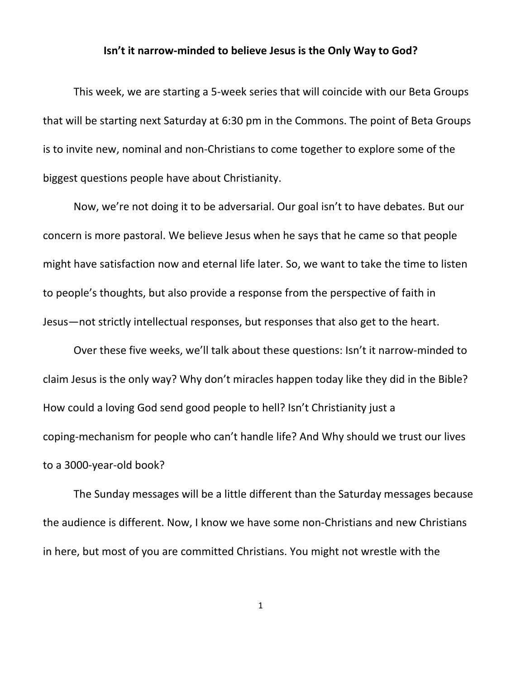## **Isn't it narrow-minded to believe Jesus is the Only Way to God?**

This week, we are starting a 5-week series that will coincide with our Beta Groups that will be starting next Saturday at 6:30 pm in the Commons. The point of Beta Groups is to invite new, nominal and non-Christians to come together to explore some of the biggest questions people have about Christianity.

Now, we're not doing it to be adversarial. Our goal isn't to have debates. But our concern is more pastoral. We believe Jesus when he says that he came so that people might have satisfaction now and eternal life later. So, we want to take the time to listen to people's thoughts, but also provide a response from the perspective of faith in Jesus—not strictly intellectual responses, but responses that also get to the heart.

Over these five weeks, we'll talk about these questions: Isn't it narrow-minded to claim Jesus is the only way? Why don't miracles happen today like they did in the Bible? How could a loving God send good people to hell? Isn't Christianity just a coping-mechanism for people who can't handle life? And Why should we trust our lives to a 3000-year-old book?

The Sunday messages will be a little different than the Saturday messages because the audience is different. Now, I know we have some non-Christians and new Christians in here, but most of you are committed Christians. You might not wrestle with the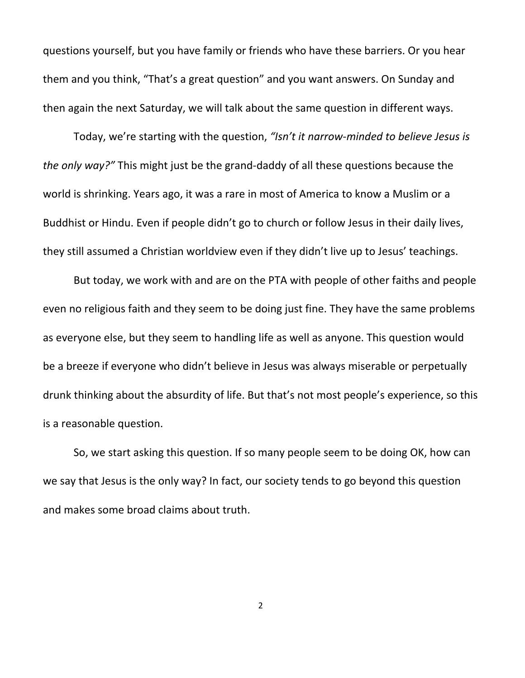questions yourself, but you have family or friends who have these barriers. Or you hear them and you think, "That's a great question" and you want answers. On Sunday and then again the next Saturday, we will talk about the same question in different ways.

Today, we're starting with the question, *"Isn't it narrow-minded to believe Jesus is the only way?"* This might just be the grand-daddy of all these questions because the world is shrinking. Years ago, it was a rare in most of America to know a Muslim or a Buddhist or Hindu. Even if people didn't go to church or follow Jesus in their daily lives, they still assumed a Christian worldview even if they didn't live up to Jesus' teachings.

But today, we work with and are on the PTA with people of other faiths and people even no religious faith and they seem to be doing just fine. They have the same problems as everyone else, but they seem to handling life as well as anyone. This question would be a breeze if everyone who didn't believe in Jesus was always miserable or perpetually drunk thinking about the absurdity of life. But that's not most people's experience, so this is a reasonable question.

So, we start asking this question. If so many people seem to be doing OK, how can we say that Jesus is the only way? In fact, our society tends to go beyond this question and makes some broad claims about truth.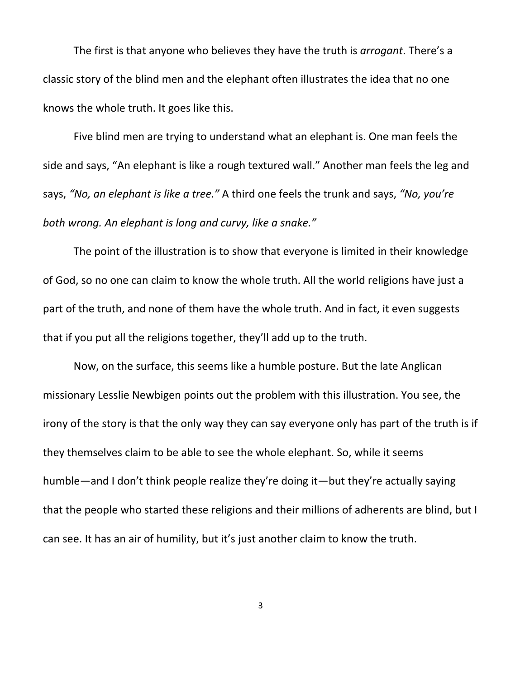The first is that anyone who believes they have the truth is *arrogant*. There's a classic story of the blind men and the elephant often illustrates the idea that no one knows the whole truth. It goes like this.

Five blind men are trying to understand what an elephant is. One man feels the side and says, "An elephant is like a rough textured wall." Another man feels the leg and says, *"No, an elephant is like a tree."* A third one feels the trunk and says, *"No, you're both wrong. An elephant is long and curvy, like a snake."*

The point of the illustration is to show that everyone is limited in their knowledge of God, so no one can claim to know the whole truth. All the world religions have just a part of the truth, and none of them have the whole truth. And in fact, it even suggests that if you put all the religions together, they'll add up to the truth.

Now, on the surface, this seems like a humble posture. But the late Anglican missionary Lesslie Newbigen points out the problem with this illustration. You see, the irony of the story is that the only way they can say everyone only has part of the truth is if they themselves claim to be able to see the whole elephant. So, while it seems humble—and I don't think people realize they're doing it—but they're actually saying that the people who started these religions and their millions of adherents are blind, but I can see. It has an air of humility, but it's just another claim to know the truth.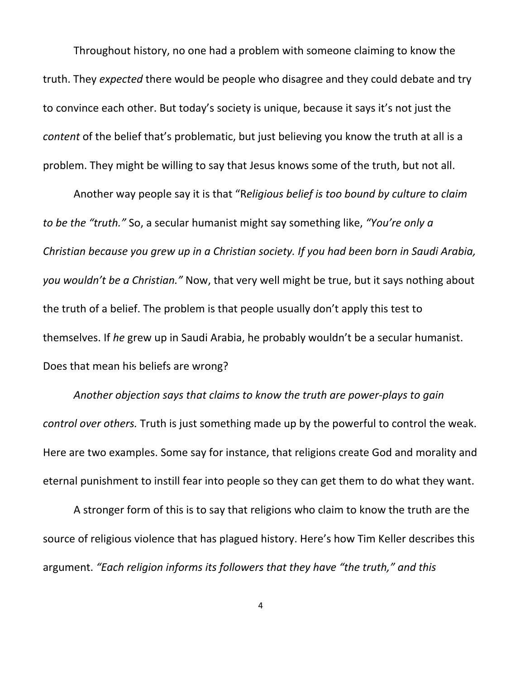Throughout history, no one had a problem with someone claiming to know the truth. They *expected* there would be people who disagree and they could debate and try to convince each other. But today's society is unique, because it says it's not just the *content* of the belief that's problematic, but just believing you know the truth at all is a problem. They might be willing to say that Jesus knows some of the truth, but not all.

Another way people say it is that "R*eligious belief is too bound by culture to claim to be the "truth."* So, a secular humanist might say something like, *"You're only a Christian because you grew up in a Christian society. If you had been born in Saudi Arabia, you wouldn't be a Christian."* Now, that very well might be true, but it says nothing about the truth of a belief. The problem is that people usually don't apply this test to themselves. If *he* grew up in Saudi Arabia, he probably wouldn't be a secular humanist. Does that mean his beliefs are wrong?

*Another objection says that claims to know the truth are power-plays to gain control over others.* Truth is just something made up by the powerful to control the weak. Here are two examples. Some say for instance, that religions create God and morality and eternal punishment to instill fear into people so they can get them to do what they want.

A stronger form of this is to say that religions who claim to know the truth are the source of religious violence that has plagued history. Here's how Tim Keller describes this argument. *"Each religion informs its followers that they have "the truth," and this*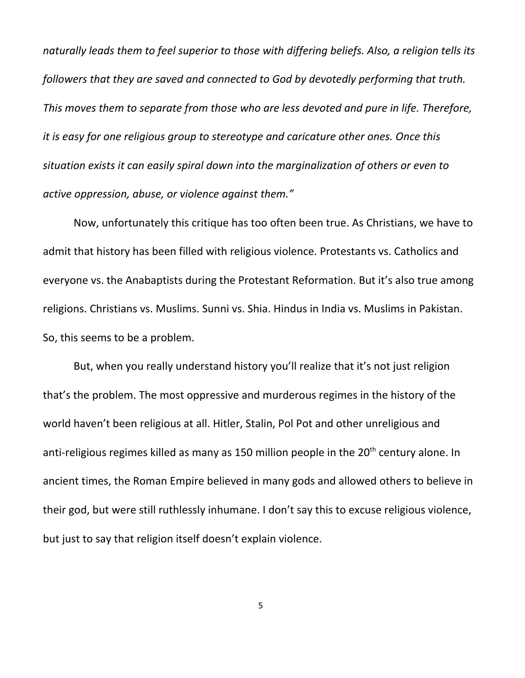*naturally leads them to feel superior to those with differing beliefs. Also, a religion tells its followers that they are saved and connected to God by devotedly performing that truth. This moves them to separate from those who are less devoted and pure in life. Therefore, it is easy for one religious group to stereotype and caricature other ones. Once this situation exists it can easily spiral down into the marginalization of others or even to active oppression, abuse, or violence against them."*

Now, unfortunately this critique has too often been true. As Christians, we have to admit that history has been filled with religious violence. Protestants vs. Catholics and everyone vs. the Anabaptists during the Protestant Reformation. But it's also true among religions. Christians vs. Muslims. Sunni vs. Shia. Hindus in India vs. Muslims in Pakistan. So, this seems to be a problem.

But, when you really understand history you'll realize that it's not just religion that's the problem. The most oppressive and murderous regimes in the history of the world haven't been religious at all. Hitler, Stalin, Pol Pot and other unreligious and anti-religious regimes killed as many as 150 million people in the 20<sup>th</sup> century alone. In ancient times, the Roman Empire believed in many gods and allowed others to believe in their god, but were still ruthlessly inhumane. I don't say this to excuse religious violence, but just to say that religion itself doesn't explain violence.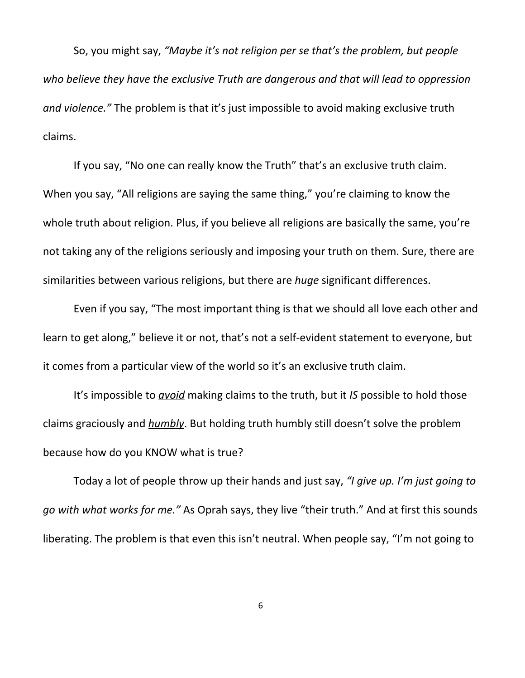So, you might say, *"Maybe it's not religion per se that's the problem, but people who believe they have the exclusive Truth are dangerous and that will lead to oppression and violence."* The problem is that it's just impossible to avoid making exclusive truth claims.

If you say, "No one can really know the Truth" that's an exclusive truth claim. When you say, "All religions are saying the same thing," you're claiming to know the whole truth about religion. Plus, if you believe all religions are basically the same, you're not taking any of the religions seriously and imposing your truth on them. Sure, there are similarities between various religions, but there are *huge* significant differences.

Even if you say, "The most important thing is that we should all love each other and learn to get along," believe it or not, that's not a self-evident statement to everyone, but it comes from a particular view of the world so it's an exclusive truth claim.

It's impossible to *avoid* making claims to the truth, but it *IS* possible to hold those claims graciously and *humbly*. But holding truth humbly still doesn't solve the problem because how do you KNOW what is true?

Today a lot of people throw up their hands and just say, *"I give up. I'm just going to go with what works for me."* As Oprah says, they live "their truth." And at first this sounds liberating. The problem is that even this isn't neutral. When people say, "I'm not going to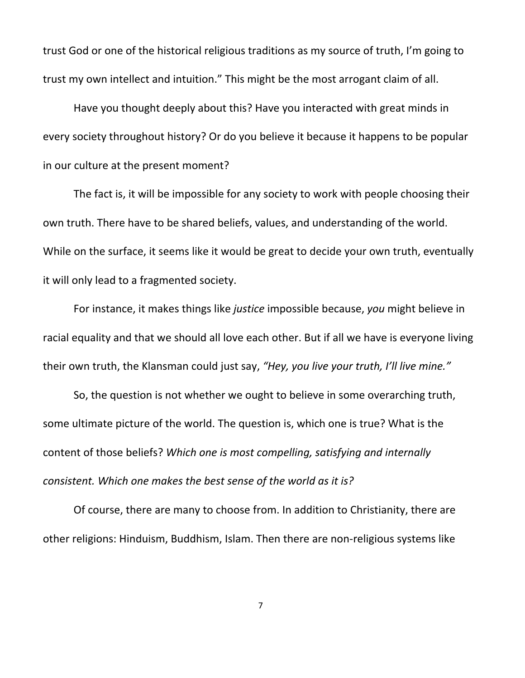trust God or one of the historical religious traditions as my source of truth, I'm going to trust my own intellect and intuition." This might be the most arrogant claim of all.

Have you thought deeply about this? Have you interacted with great minds in every society throughout history? Or do you believe it because it happens to be popular in our culture at the present moment?

The fact is, it will be impossible for any society to work with people choosing their own truth. There have to be shared beliefs, values, and understanding of the world. While on the surface, it seems like it would be great to decide your own truth, eventually it will only lead to a fragmented society.

For instance, it makes things like *justice* impossible because, *you* might believe in racial equality and that we should all love each other. But if all we have is everyone living their own truth, the Klansman could just say, *"Hey, you live your truth, I'll live mine."*

So, the question is not whether we ought to believe in some overarching truth, some ultimate picture of the world. The question is, which one is true? What is the content of those beliefs? *Which one is most compelling, satisfying and internally consistent. Which one makes the best sense of the world as it is?*

Of course, there are many to choose from. In addition to Christianity, there are other religions: Hinduism, Buddhism, Islam. Then there are non-religious systems like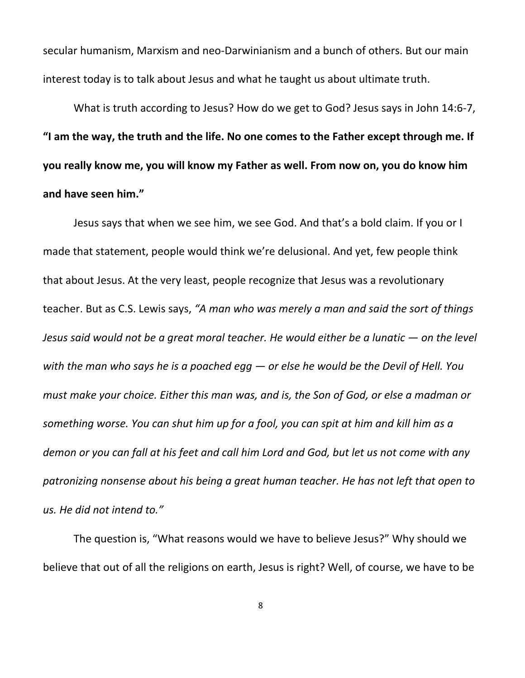secular humanism, Marxism and neo-Darwinianism and a bunch of others. But our main interest today is to talk about Jesus and what he taught us about ultimate truth.

What is truth according to Jesus? How do we get to God? Jesus says in John 14:6-7, **"I am the way, the truth and the life. No one comes to the Father except through me. If you really know me, you will know my Father as well. From now on, you do know him and have seen him."**

Jesus says that when we see him, we see God. And that's a bold claim. If you or I made that statement, people would think we're delusional. And yet, few people think that about Jesus. At the very least, people recognize that Jesus was a revolutionary teacher. But as C.S. Lewis says, *"A man who was merely a man and said the sort of things Jesus said would not be a great moral teacher. He would either be a lunatic — on the level* with the man who says he is a poached egg  $-$  or else he would be the Devil of Hell. You *must make your choice. Either this man was, and is, the Son of God, or else a madman or* something worse. You can shut him up for a fool, you can spit at him and kill him as a demon or you can fall at his feet and call him Lord and God, but let us not come with any *patronizing nonsense about his being a great human teacher. He has not left that open to us. He did not intend to."*

The question is, "What reasons would we have to believe Jesus?" Why should we believe that out of all the religions on earth, Jesus is right? Well, of course, we have to be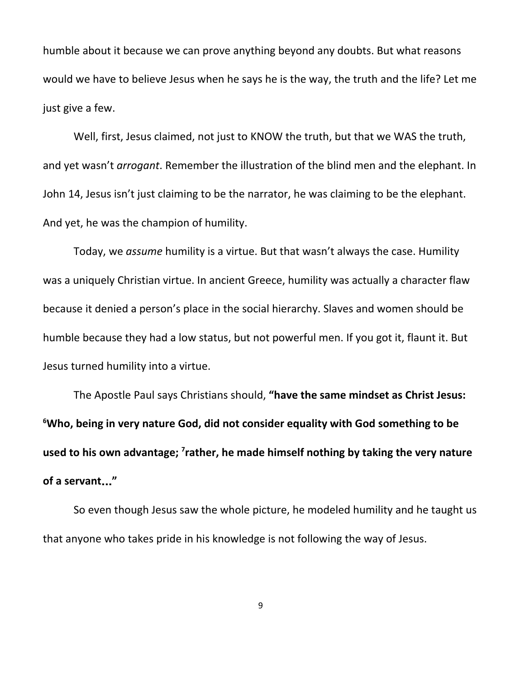humble about it because we can prove anything beyond any doubts. But what reasons would we have to believe Jesus when he says he is the way, the truth and the life? Let me just give a few.

Well, first, Jesus claimed, not just to KNOW the truth, but that we WAS the truth, and yet wasn't *arrogant*. Remember the illustration of the blind men and the elephant. In John 14, Jesus isn't just claiming to be the narrator, he was claiming to be the elephant. And yet, he was the champion of humility.

Today, we *assume* humility is a virtue. But that wasn't always the case. Humility was a uniquely Christian virtue. In ancient Greece, humility was actually a character flaw because it denied a person's place in the social hierarchy. Slaves and women should be humble because they had a low status, but not powerful men. If you got it, flaunt it. But Jesus turned humility into a virtue.

The Apostle Paul says Christians should, **"have the same mindset as Christ Jesus: <sup>6</sup>Who, being in very nature God, did not consider equality with God something to be used to his own advantage; 7 rather, he made himself nothing by taking the very nature of a servant**…**"**

So even though Jesus saw the whole picture, he modeled humility and he taught us that anyone who takes pride in his knowledge is not following the way of Jesus.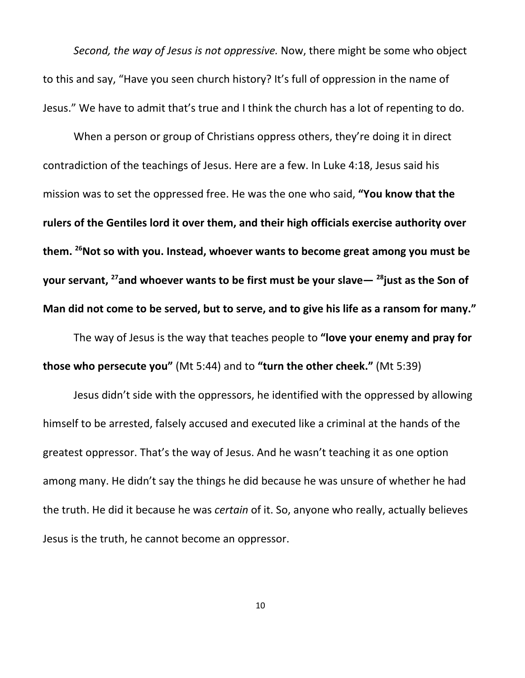*Second, the way of Jesus is not oppressive.* Now, there might be some who object to this and say, "Have you seen church history? It's full of oppression in the name of Jesus." We have to admit that's true and I think the church has a lot of repenting to do.

When a person or group of Christians oppress others, they're doing it in direct contradiction of the teachings of Jesus. Here are a few. In Luke 4:18, Jesus said his mission was to set the oppressed free. He was the one who said, **"You know that the rulers of the Gentiles lord it over them, and their high officials exercise authority over them. <sup>26</sup>Not so with you. Instead, whoever wants to become great among you must be your servant, <sup>27</sup>and whoever wants to be first must be your slave— 28 just as the Son of** Man did not come to be served, but to serve, and to give his life as a ransom for many."

The way of Jesus is the way that teaches people to **"love your enemy and pray for those who persecute you"** (Mt 5:44) and to **"turn the other cheek."** (Mt 5:39)

Jesus didn't side with the oppressors, he identified with the oppressed by allowing himself to be arrested, falsely accused and executed like a criminal at the hands of the greatest oppressor. That's the way of Jesus. And he wasn't teaching it as one option among many. He didn't say the things he did because he was unsure of whether he had the truth. He did it because he was *certain* of it. So, anyone who really, actually believes Jesus is the truth, he cannot become an oppressor.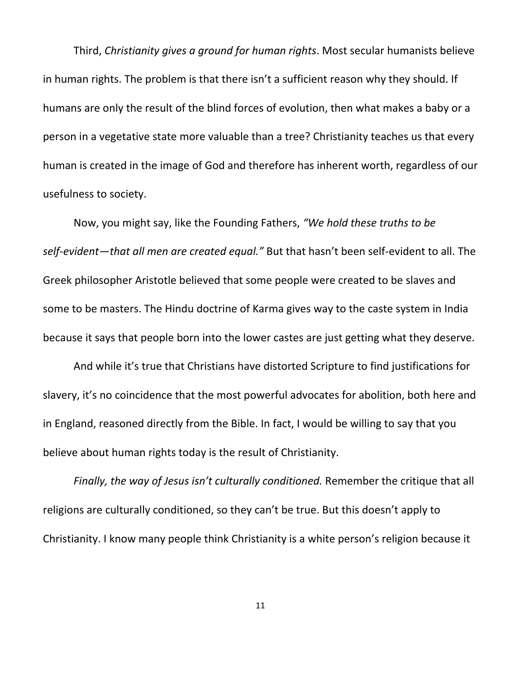Third, *Christianity gives a ground for human rights*. Most secular humanists believe in human rights. The problem is that there isn't a sufficient reason why they should. If humans are only the result of the blind forces of evolution, then what makes a baby or a person in a vegetative state more valuable than a tree? Christianity teaches us that every human is created in the image of God and therefore has inherent worth, regardless of our usefulness to society.

Now, you might say, like the Founding Fathers, *"We hold these truths to be self-evident—that all men are created equal."* But that hasn't been self-evident to all. The Greek philosopher Aristotle believed that some people were created to be slaves and some to be masters. The Hindu doctrine of Karma gives way to the caste system in India because it says that people born into the lower castes are just getting what they deserve.

And while it's true that Christians have distorted Scripture to find justifications for slavery, it's no coincidence that the most powerful advocates for abolition, both here and in England, reasoned directly from the Bible. In fact, I would be willing to say that you believe about human rights today is the result of Christianity.

*Finally, the way of Jesus isn't culturally conditioned.* Remember the critique that all religions are culturally conditioned, so they can't be true. But this doesn't apply to Christianity. I know many people think Christianity is a white person's religion because it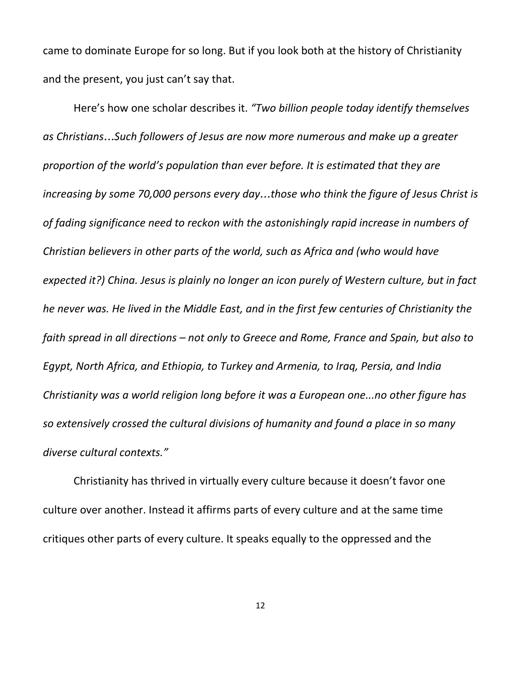came to dominate Europe for so long. But if you look both at the history of Christianity and the present, you just can't say that.

Here's how one scholar describes it. *"Two billion people today identify themselves as Christians*…*Such followers of Jesus are now more numerous and make up a greater proportion of the world's population than ever before. It is estimated that they are increasing by some 70,000 persons every day*…*those who think the figure of Jesus Christ is of fading significance need to reckon with the astonishingly rapid increase in numbers of Christian believers in other parts of the world, such as Africa and (who would have expected it?) China. Jesus is plainly no longer an icon purely of Western culture, but in fact he never was. He lived in the Middle East, and in the first few centuries of Christianity the faith spread in all directions – not only to Greece and Rome, France and Spain, but also to Egypt, North Africa, and Ethiopia, to Turkey and Armenia, to Iraq, Persia, and India Christianity was a world religion long before it was a European one...no other figure has so extensively crossed the cultural divisions of humanity and found a place in so many diverse cultural contexts."*

Christianity has thrived in virtually every culture because it doesn't favor one culture over another. Instead it affirms parts of every culture and at the same time critiques other parts of every culture. It speaks equally to the oppressed and the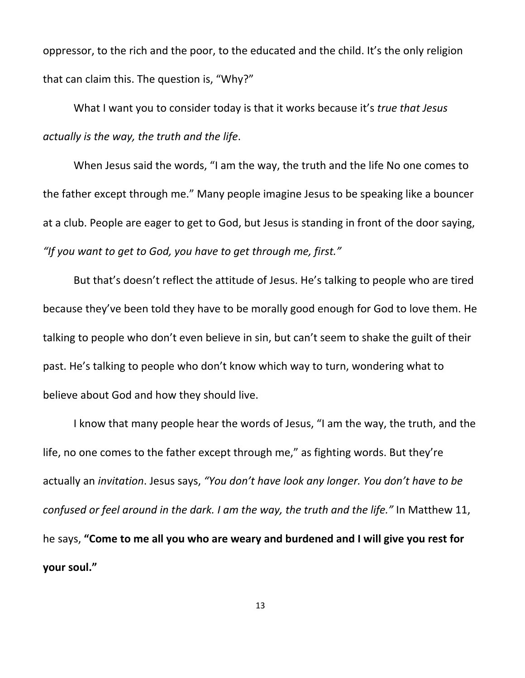oppressor, to the rich and the poor, to the educated and the child. It's the only religion that can claim this. The question is, "Why?"

What I want you to consider today is that it works because it's *true that Jesus actually is the way, the truth and the life*.

When Jesus said the words, "I am the way, the truth and the life No one comes to the father except through me." Many people imagine Jesus to be speaking like a bouncer at a club. People are eager to get to God, but Jesus is standing in front of the door saying, *"If you want to get to God, you have to get through me, first."*

But that's doesn't reflect the attitude of Jesus. He's talking to people who are tired because they've been told they have to be morally good enough for God to love them. He talking to people who don't even believe in sin, but can't seem to shake the guilt of their past. He's talking to people who don't know which way to turn, wondering what to believe about God and how they should live.

I know that many people hear the words of Jesus, "I am the way, the truth, and the life, no one comes to the father except through me," as fighting words. But they're actually an *invitation*. Jesus says, *"You don't have look any longer. You don't have to be confused or feel around in the dark. I am the way, the truth and the life."* In Matthew 11, he says, **"Come to me all you who are weary and burdened and I will give you rest for your soul."**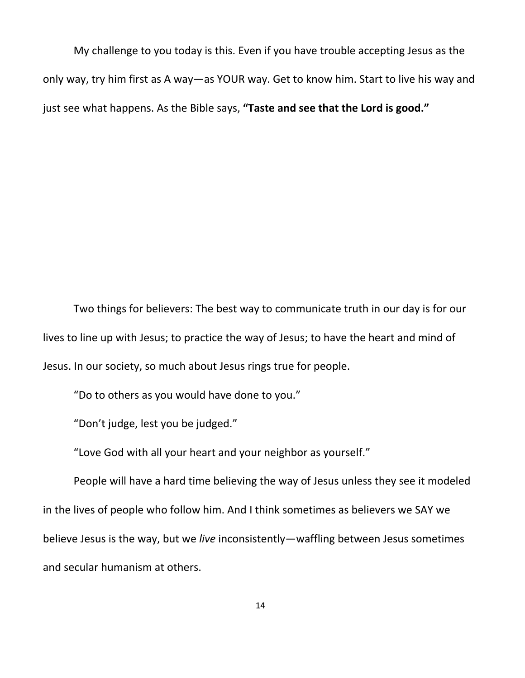My challenge to you today is this. Even if you have trouble accepting Jesus as the only way, try him first as A way—as YOUR way. Get to know him. Start to live his way and just see what happens. As the Bible says, **"Taste and see that the Lord is good."**

Two things for believers: The best way to communicate truth in our day is for our lives to line up with Jesus; to practice the way of Jesus; to have the heart and mind of Jesus. In our society, so much about Jesus rings true for people.

"Do to others as you would have done to you."

"Don't judge, lest you be judged."

"Love God with all your heart and your neighbor as yourself."

People will have a hard time believing the way of Jesus unless they see it modeled in the lives of people who follow him. And I think sometimes as believers we SAY we believe Jesus is the way, but we *live* inconsistently—waffling between Jesus sometimes and secular humanism at others.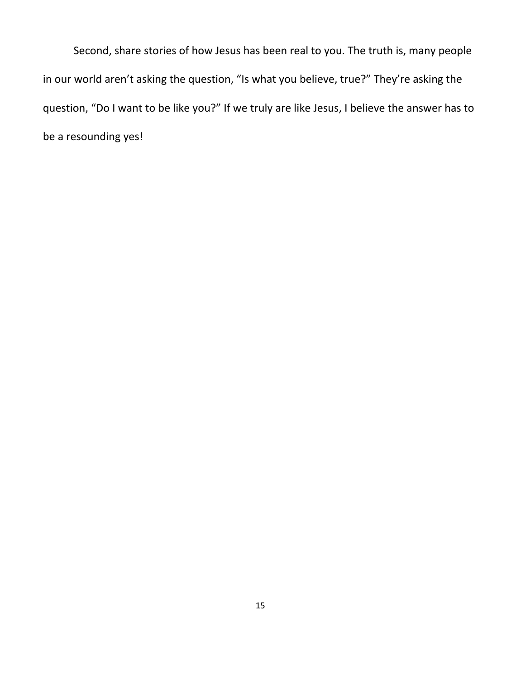Second, share stories of how Jesus has been real to you. The truth is, many people in our world aren't asking the question, "Is what you believe, true?" They're asking the question, "Do I want to be like you?" If we truly are like Jesus, I believe the answer has to be a resounding yes!